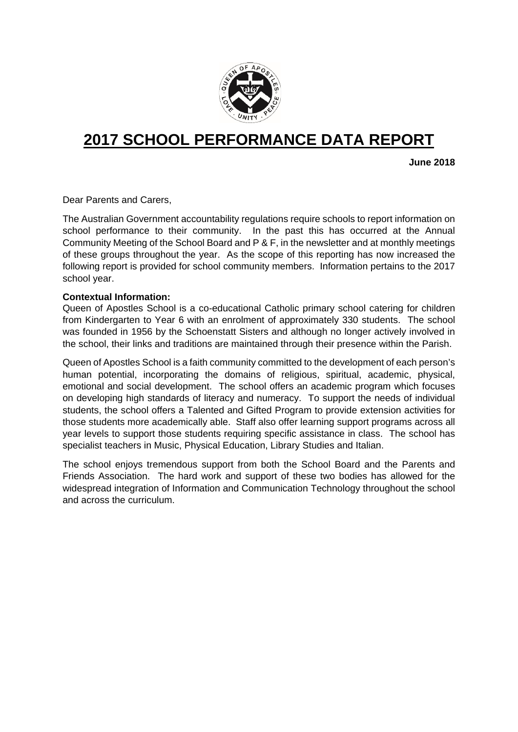

# **2017 SCHOOL PERFORMANCE DATA REPORT**

**June 2018**

Dear Parents and Carers,

The Australian Government accountability regulations require schools to report information on school performance to their community. In the past this has occurred at the Annual Community Meeting of the School Board and P & F, in the newsletter and at monthly meetings of these groups throughout the year. As the scope of this reporting has now increased the following report is provided for school community members. Information pertains to the 2017 school year.

#### **Contextual Information:**

Queen of Apostles School is a co-educational Catholic primary school catering for children from Kindergarten to Year 6 with an enrolment of approximately 330 students. The school was founded in 1956 by the Schoenstatt Sisters and although no longer actively involved in the school, their links and traditions are maintained through their presence within the Parish.

Queen of Apostles School is a faith community committed to the development of each person's human potential, incorporating the domains of religious, spiritual, academic, physical, emotional and social development. The school offers an academic program which focuses on developing high standards of literacy and numeracy. To support the needs of individual students, the school offers a Talented and Gifted Program to provide extension activities for those students more academically able. Staff also offer learning support programs across all year levels to support those students requiring specific assistance in class. The school has specialist teachers in Music, Physical Education, Library Studies and Italian.

The school enjoys tremendous support from both the School Board and the Parents and Friends Association. The hard work and support of these two bodies has allowed for the widespread integration of Information and Communication Technology throughout the school and across the curriculum.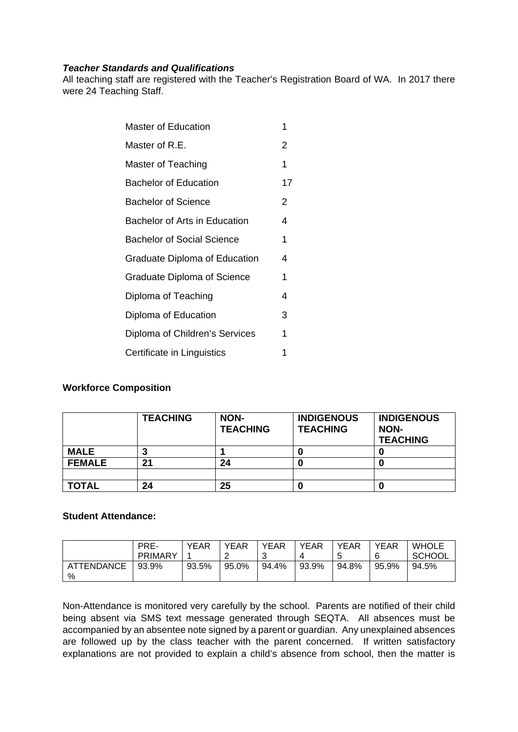#### *Teacher Standards and Qualifications*

All teaching staff are registered with the Teacher's Registration Board of WA. In 2017 there were 24 Teaching Staff.

| <b>Master of Education</b>           | 1  |
|--------------------------------------|----|
| Master of R.E.                       | 2  |
| Master of Teaching                   | 1  |
| <b>Bachelor of Education</b>         | 17 |
| <b>Bachelor of Science</b>           | 2  |
| Bachelor of Arts in Education        | 4  |
| <b>Bachelor of Social Science</b>    | 1  |
| <b>Graduate Diploma of Education</b> | 4  |
| <b>Graduate Diploma of Science</b>   | 1  |
| Diploma of Teaching                  | 4  |
| Diploma of Education                 | 3  |
| Diploma of Children's Services       | 1  |
| Certificate in Linguistics           | 1  |
|                                      |    |

## **Workforce Composition**

|               | <b>TEACHING</b> | NON-<br><b>TEACHING</b> | <b>INDIGENOUS</b><br><b>TEACHING</b> | <b>INDIGENOUS</b><br><b>NON-</b><br><b>TEACHING</b> |
|---------------|-----------------|-------------------------|--------------------------------------|-----------------------------------------------------|
| MALE          |                 |                         |                                      |                                                     |
| <b>FEMALE</b> | 21              | 24                      |                                      |                                                     |
|               |                 |                         |                                      |                                                     |
| <b>TOTAL</b>  | 24              | 25                      |                                      |                                                     |

### **Student Attendance:**

|                        | PRE-<br>PRIMARY | YEAR  | <b>YEAR</b> | <b>YEAR</b><br>ັ | YEAR  | <b>YEAR</b><br>∽<br>u | <b>YEAR</b><br>6 | <b>WHOLE</b><br><b>SCHOOL</b> |
|------------------------|-----------------|-------|-------------|------------------|-------|-----------------------|------------------|-------------------------------|
| <b>ATTENDANCE</b><br>% | 93.9%           | 93.5% | 95.0%       | 94.4%            | 93.9% | 94.8%                 | 95.9%            | 94.5%                         |

Non-Attendance is monitored very carefully by the school. Parents are notified of their child being absent via SMS text message generated through SEQTA. All absences must be accompanied by an absentee note signed by a parent or guardian. Any unexplained absences are followed up by the class teacher with the parent concerned. If written satisfactory explanations are not provided to explain a child's absence from school, then the matter is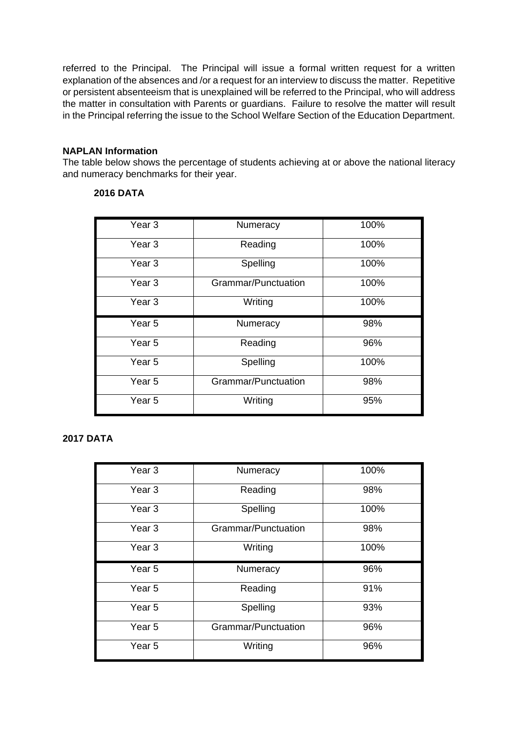referred to the Principal. The Principal will issue a formal written request for a written explanation of the absences and /or a request for an interview to discuss the matter. Repetitive or persistent absenteeism that is unexplained will be referred to the Principal, who will address the matter in consultation with Parents or guardians. Failure to resolve the matter will result in the Principal referring the issue to the School Welfare Section of the Education Department.

### **NAPLAN Information**

The table below shows the percentage of students achieving at or above the national literacy and numeracy benchmarks for their year.

#### **2016 DATA**

| Year <sub>3</sub> | Numeracy            | 100% |
|-------------------|---------------------|------|
| Year 3            | Reading             | 100% |
| Year <sub>3</sub> | Spelling            | 100% |
| Year <sub>3</sub> | Grammar/Punctuation | 100% |
| Year <sub>3</sub> | Writing             | 100% |
|                   |                     |      |
| Year <sub>5</sub> | Numeracy            | 98%  |
| Year <sub>5</sub> | Reading             | 96%  |
| Year <sub>5</sub> | Spelling            | 100% |
| Year 5            | Grammar/Punctuation | 98%  |

## **2017 DATA**

| Year <sub>3</sub> | Numeracy            | 100% |
|-------------------|---------------------|------|
| Year <sub>3</sub> | Reading             | 98%  |
| Year <sub>3</sub> | Spelling            | 100% |
| Year <sub>3</sub> | Grammar/Punctuation | 98%  |
| Year <sub>3</sub> | Writing             | 100% |
|                   |                     |      |
| Year <sub>5</sub> | Numeracy            | 96%  |
| Year <sub>5</sub> | Reading             | 91%  |
| Year <sub>5</sub> | Spelling            | 93%  |
| Year <sub>5</sub> | Grammar/Punctuation | 96%  |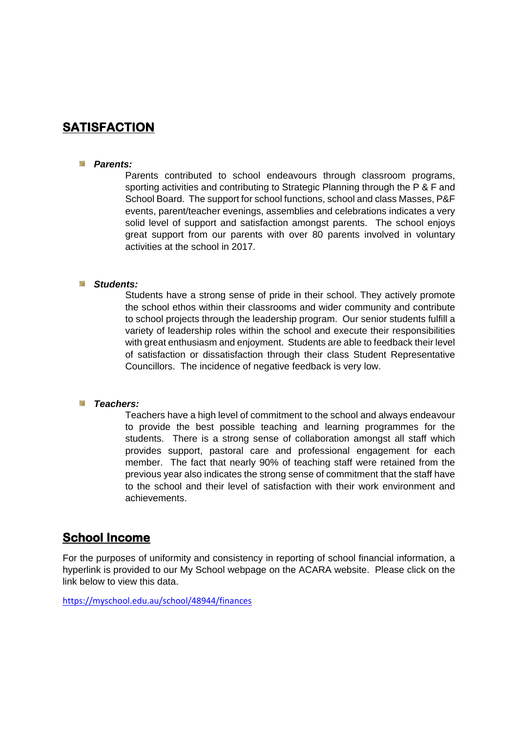# **SATISFACTION**

#### *Parents:*

Parents contributed to school endeavours through classroom programs, sporting activities and contributing to Strategic Planning through the P & F and School Board. The support for school functions, school and class Masses, P&F events, parent/teacher evenings, assemblies and celebrations indicates a very solid level of support and satisfaction amongst parents. The school enjoys great support from our parents with over 80 parents involved in voluntary activities at the school in 2017.

#### *Students:*

Students have a strong sense of pride in their school. They actively promote the school ethos within their classrooms and wider community and contribute to school projects through the leadership program. Our senior students fulfill a variety of leadership roles within the school and execute their responsibilities with great enthusiasm and enjoyment. Students are able to feedback their level of satisfaction or dissatisfaction through their class Student Representative Councillors. The incidence of negative feedback is very low.

#### *Teachers:*

Teachers have a high level of commitment to the school and always endeavour to provide the best possible teaching and learning programmes for the students. There is a strong sense of collaboration amongst all staff which provides support, pastoral care and professional engagement for each member. The fact that nearly 90% of teaching staff were retained from the previous year also indicates the strong sense of commitment that the staff have to the school and their level of satisfaction with their work environment and achievements.

# **School Income**

For the purposes of uniformity and consistency in reporting of school financial information, a hyperlink is provided to our My School webpage on the ACARA website. Please click on the link below to view this data.

<https://myschool.edu.au/school/48944/finances>